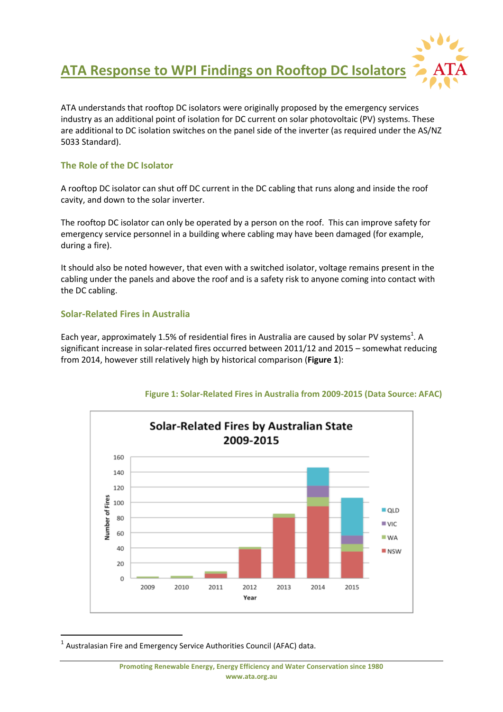

ATA understands that rooftop DC isolators were originally proposed by the emergency services industry as an additional point of isolation for DC current on solar photovoltaic (PV) systems. These are additional to DC isolation switches on the panel side of the inverter (as required under the AS/NZ 5033 Standard).

# **The Role of the DC Isolator**

A rooftop DC isolator can shut off DC current in the DC cabling that runs along and inside the roof cavity, and down to the solar inverter.

The rooftop DC isolator can only be operated by a person on the roof. This can improve safety for emergency service personnel in a building where cabling may have been damaged (for example, during a fire).

It should also be noted however, that even with a switched isolator, voltage remains present in the cabling under the panels and above the roof and is a safety risk to anyone coming into contact with the DC cabling.

### **Solar-Related Fires in Australia**

 $\overline{a}$ 

Each year, approximately 1.5% of residential fires in Australia are caused by solar PV systems<sup>1</sup>. A significant increase in solar-related fires occurred between 2011/12 and 2015 – somewhat reducing from 2014, however still relatively high by historical comparison (**Figure 1**):



**Figure 1: Solar-Related Fires in Australia from 2009-2015 (Data Source: AFAC)**

 $<sup>1</sup>$  Australasian Fire and Emergency Service Authorities Council (AFAC) data.</sup>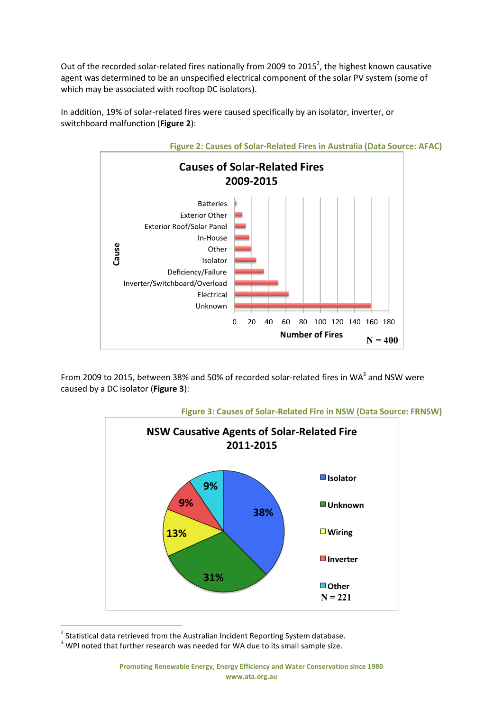Out of the recorded solar-related fires nationally from 2009 to 2015<sup>2</sup>, the highest known causative agent was determined to be an unspecified electrical component of the solar PV system (some of which may be associated with rooftop DC isolators).

In addition, 19% of solar-related fires were caused specifically by an isolator, inverter, or switchboard malfunction (**Figure 2**):



From 2009 to 2015, between 38% and 50% of recorded solar-related fires in WA<sup>3</sup> and NSW were caused by a DC isolator (**Figure 3**):



**Figure 3: Causes of Solar-Related Fire in NSW (Data Source: FRNSW)**

 2 Statistical data retrieved from the Australian Incident Reporting System database.

 $3$  WPI noted that further research was needed for WA due to its small sample size.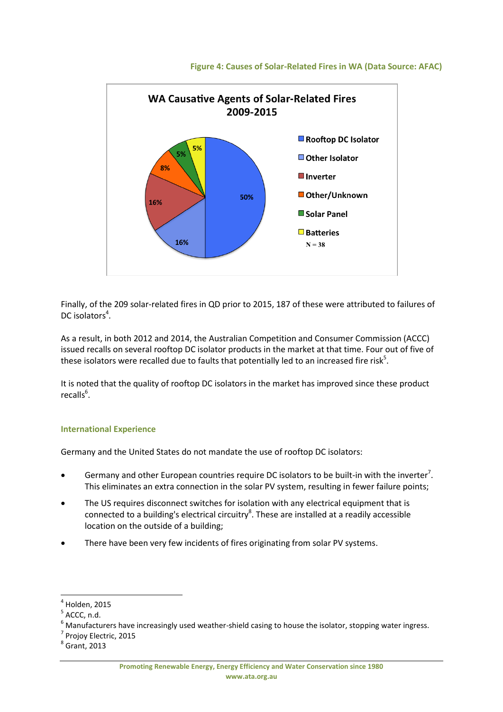

### **Figure 4: Causes of Solar-Related Fires in WA (Data Source: AFAC)**

Finally, of the 209 solar-related fires in QD prior to 2015, 187 of these were attributed to failures of DC isolators<sup>4</sup>.

As a result, in both 2012 and 2014, the Australian Competition and Consumer Commission (ACCC) issued recalls on several rooftop DC isolator products in the market at that time. Four out of five of these isolators were recalled due to faults that potentially led to an increased fire risk<sup>5</sup>.

It is noted that the quality of rooftop DC isolators in the market has improved since these product recalls<sup>6</sup>.

### **International Experience**

Germany and the United States do not mandate the use of rooftop DC isolators:

- **•** Germany and other European countries require DC isolators to be built-in with the inverter<sup>7</sup>. This eliminates an extra connection in the solar PV system, resulting in fewer failure points;
- The US requires disconnect switches for isolation with any electrical equipment that is connected to a building's electrical circuitry<sup>8</sup>. These are installed at a readily accessible location on the outside of a building;
- There have been very few incidents of fires originating from solar PV systems.

 $\overline{a}$ 

<sup>7</sup> Projoy Electric, 2015

 $<sup>4</sup>$  Holden, 2015</sup>

 $5$  ACCC, n.d.

<sup>6</sup> Manufacturers have increasingly used weather-shield casing to house the isolator, stopping water ingress.

 $<sup>8</sup>$  Grant, 2013</sup>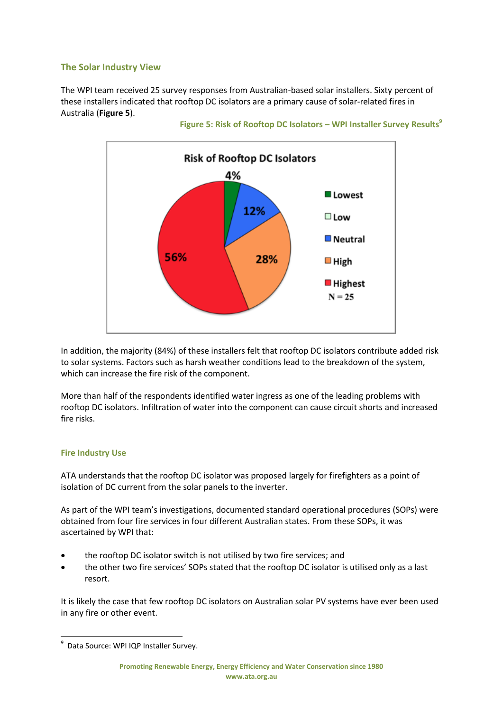# **The Solar Industry View**

The WPI team received 25 survey responses from Australian-based solar installers. Sixty percent of these installers indicated that rooftop DC isolators are a primary cause of solar-related fires in Australia (**Figure 5**).





In addition, the majority (84%) of these installers felt that rooftop DC isolators contribute added risk to solar systems. Factors such as harsh weather conditions lead to the breakdown of the system, which can increase the fire risk of the component.

More than half of the respondents identified water ingress as one of the leading problems with rooftop DC isolators. Infiltration of water into the component can cause circuit shorts and increased fire risks.

### **Fire Industry Use**

**.** 

ATA understands that the rooftop DC isolator was proposed largely for firefighters as a point of isolation of DC current from the solar panels to the inverter.

As part of the WPI team's investigations, documented standard operational procedures (SOPs) were obtained from four fire services in four different Australian states. From these SOPs, it was ascertained by WPI that:

- the rooftop DC isolator switch is not utilised by two fire services; and
- the other two fire services' SOPs stated that the rooftop DC isolator is utilised only as a last resort.

It is likely the case that few rooftop DC isolators on Australian solar PV systems have ever been used in any fire or other event.

<sup>&</sup>lt;sup>9</sup> Data Source: WPI IQP Installer Survey.